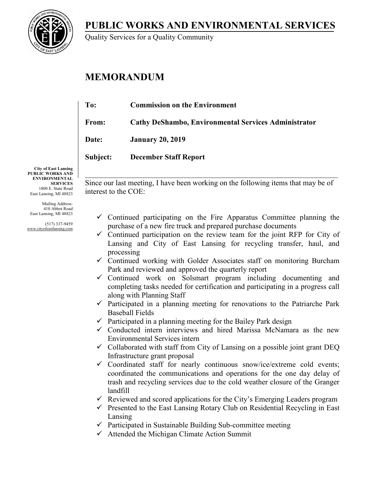**PUBLIC WORKS AND ENVIRONMENTAL SERVICES**



Quality Services for a Quality Community

## **MEMORANDUM**

| To:          | <b>Commission on the Environment</b>                        |
|--------------|-------------------------------------------------------------|
| From:        | <b>Cathy DeShambo, Environmental Services Administrator</b> |
| <b>Date:</b> | <b>January 20, 2019</b>                                     |
| Subject:     | <b>December Staff Report</b>                                |
|              |                                                             |

**City of East Lansing PUBLIC WORKS AND ENVIRONMENTAL SERVICES** 1800 E. State Road East Lansing, MI 48823

Mailing Address: 410 Abbot Road East Lansing, MI 48823

(517) 337-9459 www.cityofeastlansing.com

 $\_$  , and the set of the set of the set of the set of the set of the set of the set of the set of the set of the set of the set of the set of the set of the set of the set of the set of the set of the set of the set of th Since our last meeting, I have been working on the following items that may be of interest to the COE:

- $\checkmark$  Continued participating on the Fire Apparatus Committee planning the purchase of a new fire truck and prepared purchase documents
- $\checkmark$  Continued participation on the review team for the joint RFP for City of Lansing and City of East Lansing for recycling transfer, haul, and processing
- $\checkmark$  Continued working with Golder Associates staff on monitoring Burcham Park and reviewed and approved the quarterly report
- $\checkmark$  Continued work on Solsmart program including documenting and completing tasks needed for certification and participating in a progress call along with Planning Staff
- $\checkmark$  Participated in a planning meeting for renovations to the Patriarche Park Baseball Fields
- $\checkmark$  Participated in a planning meeting for the Bailey Park design
- $\checkmark$  Conducted intern interviews and hired Marissa McNamara as the new Environmental Services intern
- $\checkmark$  Collaborated with staff from City of Lansing on a possible joint grant DEQ Infrastructure grant proposal
- $\checkmark$  Coordinated staff for nearly continuous snow/ice/extreme cold events; coordinated the communications and operations for the one day delay of trash and recycling services due to the cold weather closure of the Granger landfill
- $\checkmark$  Reviewed and scored applications for the City's Emerging Leaders program
- $\checkmark$  Presented to the East Lansing Rotary Club on Residential Recycling in East Lansing
- $\checkmark$  Participated in Sustainable Building Sub-committee meeting
- $\checkmark$  Attended the Michigan Climate Action Summit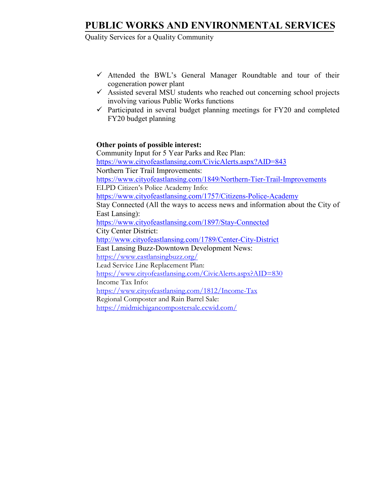## **PUBLIC WORKS AND ENVIRONMENTAL SERVICES**

Quality Services for a Quality Community

- $\checkmark$  Attended the BWL's General Manager Roundtable and tour of their cogeneration power plant
- $\checkmark$  Assisted several MSU students who reached out concerning school projects involving various Public Works functions
- $\checkmark$  Participated in several budget planning meetings for FY20 and completed FY20 budget planning

#### **Other points of possible interest:**

Community Input for 5 Year Parks and Rec Plan: <https://www.cityofeastlansing.com/CivicAlerts.aspx?AID=843> Northern Tier Trail Improvements: <https://www.cityofeastlansing.com/1849/Northern-Tier-Trail-Improvements> ELPD Citizen's Police Academy Info: <https://www.cityofeastlansing.com/1757/Citizens-Police-Academy> Stay Connected (All the ways to access news and information about the City of East Lansing): <https://www.cityofeastlansing.com/1897/Stay-Connected> City Center District: <http://www.cityofeastlansing.com/1789/Center-City-District> East Lansing Buzz-Downtown Development News: <https://www.eastlansingbuzz.org/> Lead Service Line Replacement Plan: <https://www.cityofeastlansing.com/CivicAlerts.aspx?AID=830> Income Tax Info: <https://www.cityofeastlansing.com/1812/Income-Tax> Regional Composter and Rain Barrel Sale: <https://midmichigancompostersale.ecwid.com/>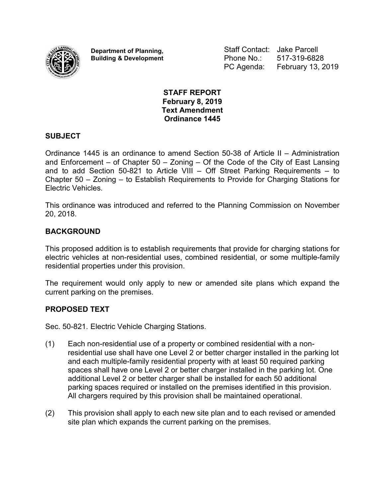

**Department of Planning, Building & Development** Staff Contact: Jake Parcell Phone No.: 517-319-6828 PC Agenda: February 13, 2019

#### **STAFF REPORT February 8, 2019 Text Amendment Ordinance 1445**

#### **SUBJECT**

Ordinance 1445 is an ordinance to amend Section 50-38 of Article II – Administration and Enforcement – of Chapter 50 – Zoning – Of the Code of the City of East Lansing and to add Section 50-821 to Article VIII – Off Street Parking Requirements – to Chapter 50 – Zoning – to Establish Requirements to Provide for Charging Stations for Electric Vehicles.

This ordinance was introduced and referred to the Planning Commission on November 20, 2018.

#### **BACKGROUND**

This proposed addition is to establish requirements that provide for charging stations for electric vehicles at non-residential uses, combined residential, or some multiple-family residential properties under this provision.

The requirement would only apply to new or amended site plans which expand the current parking on the premises.

#### **PROPOSED TEXT**

Sec. 50-821. Electric Vehicle Charging Stations.

- (1) Each non-residential use of a property or combined residential with a nonresidential use shall have one Level 2 or better charger installed in the parking lot and each multiple-family residential property with at least 50 required parking spaces shall have one Level 2 or better charger installed in the parking lot. One additional Level 2 or better charger shall be installed for each 50 additional parking spaces required or installed on the premises identified in this provision. All chargers required by this provision shall be maintained operational.
- (2) This provision shall apply to each new site plan and to each revised or amended site plan which expands the current parking on the premises.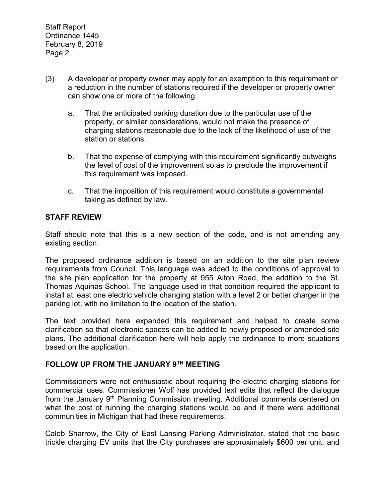- (3) A developer or property owner may apply for an exemption to this requirement or a reduction in the number of stations required if the developer or property owner can show one or more of the following:
	- a. That the anticipated parking duration due to the particular use of the property, or similar considerations, would not make the presence of charging stations reasonable due to the lack of the likelihood of use of the station or stations.
	- b. That the expense of complying with this requirement significantly outweighs the level of cost of the improvement so as to preclude the improvement if this requirement was imposed.
	- c. That the imposition of this requirement would constitute a governmental taking as defined by law.

#### **STAFF REVIEW**

Staff should note that this is a new section of the code, and is not amending any existing section.

The proposed ordinance addition is based on an addition to the site plan review requirements from Council. This language was added to the conditions of approval to the site plan application for the property at 955 Alton Road, the addition to the St. Thomas Aquinas School. The language used in that condition required the applicant to install at least one electric vehicle changing station with a level 2 or better charger in the parking lot, with no limitation to the location of the station.

The text provided here expanded this requirement and helped to create some clarification so that electronic spaces can be added to newly proposed or amended site plans. The additional clarification here will help apply the ordinance to more situations based on the application.

#### **FOLLOW UP FROM THE JANUARY 9TH MEETING**

Commissioners were not enthusiastic about requiring the electric charging stations for commercial uses. Commissioner Wolf has provided text edits that reflect the dialogue from the January 9<sup>th</sup> Planning Commission meeting. Additional comments centered on what the cost of running the charging stations would be and if there were additional communities in Michigan that had these requirements.

Caleb Sharrow, the City of East Lansing Parking Administrator, stated that the basic trickle charging EV units that the City purchases are approximately \$600 per unit, and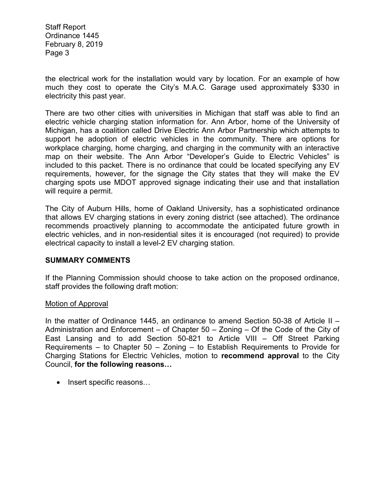Staff Report Ordinance 1445 February 8, 2019 Page 3

the electrical work for the installation would vary by location. For an example of how much they cost to operate the City's M.A.C. Garage used approximately \$330 in electricity this past year.

There are two other cities with universities in Michigan that staff was able to find an electric vehicle charging station information for. Ann Arbor, home of the University of Michigan, has a coalition called Drive Electric Ann Arbor Partnership which attempts to support he adoption of electric vehicles in the community. There are options for workplace charging, home charging, and charging in the community with an interactive map on their website. The Ann Arbor "Developer's Guide to Electric Vehicles" is included to this packet. There is no ordinance that could be located specifying any EV requirements, however, for the signage the City states that they will make the EV charging spots use MDOT approved signage indicating their use and that installation will require a permit.

The City of Auburn Hills, home of Oakland University, has a sophisticated ordinance that allows EV charging stations in every zoning district (see attached). The ordinance recommends proactively planning to accommodate the anticipated future growth in electric vehicles, and in non-residential sites it is encouraged (not required) to provide electrical capacity to install a level-2 EV charging station.

#### **SUMMARY COMMENTS**

If the Planning Commission should choose to take action on the proposed ordinance, staff provides the following draft motion:

#### Motion of Approval

In the matter of Ordinance 1445, an ordinance to amend Section 50-38 of Article II – Administration and Enforcement – of Chapter  $50 - Z$ oning – Of the Code of the City of East Lansing and to add Section 50-821 to Article VIII – Off Street Parking Requirements – to Chapter 50 – Zoning – to Establish Requirements to Provide for Charging Stations for Electric Vehicles, motion to **recommend approval** to the City Council, **for the following reasons…**

• Insert specific reasons...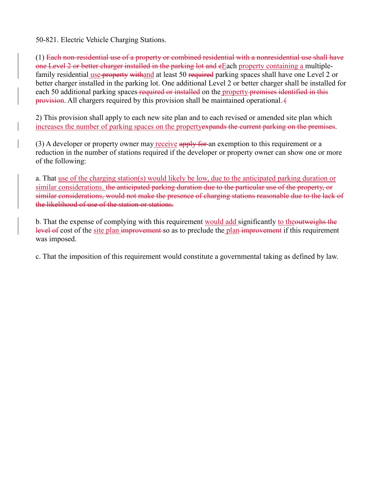50-821. Electric Vehicle Charging Stations.

(1) Each non-residential use of a property or combined residential with a nonresidential use shall have one Level 2 or better charger installed in the parking lot and eEach property containing a multiplefamily residential use property withand at least 50 required parking spaces shall have one Level 2 or better charger installed in the parking lot. One additional Level 2 or better charger shall be installed for each 50 additional parking spaces required or installed on the property premises identified in this provision. All chargers required by this provision shall be maintained operational.

2) This provision shall apply to each new site plan and to each revised or amended site plan which increases the number of parking spaces on the propertyexpands the current parking on the premises.

 $(3)$  A developer or property owner may receive apply for an exemption to this requirement or a reduction in the number of stations required if the developer or property owner can show one or more of the following:

a. That use of the charging station(s) would likely be low, due to the anticipated parking duration or similar considerations. the anticipated parking duration due to the particular use of the property, or similar considerations, would not make the presence of charging stations reasonable due to the lack of the likelihood of use of the station or stations.

b. That the expense of complying with this requirement would add significantly to theoutweighs the level of cost of the site plan improvement so as to preclude the plan improvement if this requirement was imposed.

c. That the imposition of this requirement would constitute a governmental taking as defined by law.